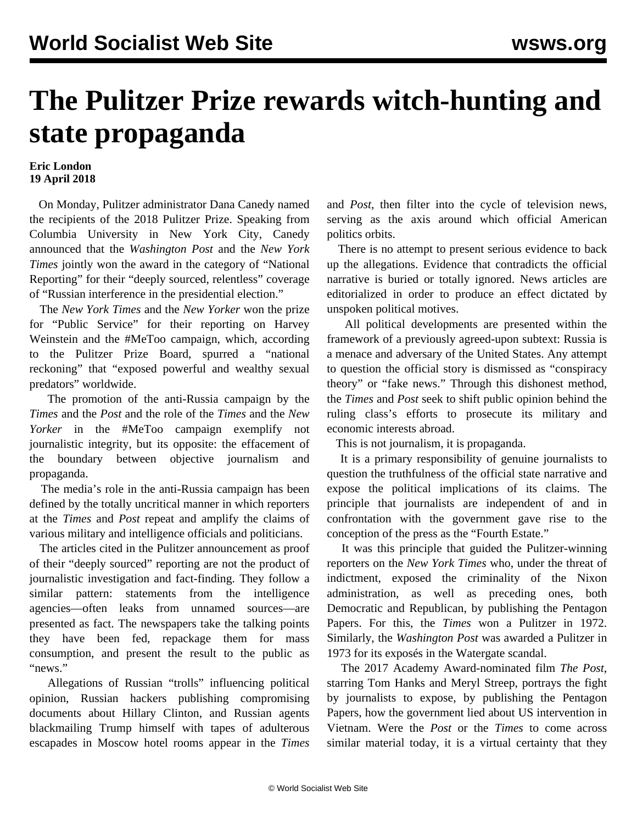## **The Pulitzer Prize rewards witch-hunting and state propaganda**

## **Eric London 19 April 2018**

 On Monday, Pulitzer administrator Dana Canedy named the recipients of the 2018 Pulitzer Prize. Speaking from Columbia University in New York City, Canedy announced that the *Washington Post* and the *New York Times* jointly won the award in the category of "National Reporting" for their "deeply sourced, relentless" coverage of "Russian interference in the presidential election."

 The *New York Times* and the *New Yorker* won the prize for "Public Service" for their reporting on Harvey Weinstein and the #MeToo campaign, which, according to the Pulitzer Prize Board, spurred a "national reckoning" that "exposed powerful and wealthy sexual predators" worldwide.

 The promotion of the anti-Russia campaign by the *Times* and the *Post* and the role of the *Times* and the *New Yorker* in the #MeToo campaign exemplify not journalistic integrity, but its opposite: the effacement of the boundary between objective journalism and propaganda.

 The media's role in the anti-Russia campaign has been defined by the totally uncritical manner in which reporters at the *Times* and *Post* repeat and amplify the claims of various military and intelligence officials and politicians.

 The articles cited in the Pulitzer announcement as proof of their "deeply sourced" reporting are not the product of journalistic investigation and fact-finding. They follow a similar pattern: statements from the intelligence agencies—often leaks from unnamed sources—are presented as fact. The newspapers take the talking points they have been fed, repackage them for mass consumption, and present the result to the public as "news."

 Allegations of Russian "trolls" influencing political opinion, Russian hackers publishing compromising documents about Hillary Clinton, and Russian agents blackmailing Trump himself with tapes of adulterous escapades in Moscow hotel rooms appear in the *Times* and *Post*, then filter into the cycle of television news, serving as the axis around which official American politics orbits.

 There is no attempt to present serious evidence to back up the allegations. Evidence that contradicts the official narrative is buried or totally ignored. News articles are editorialized in order to produce an effect dictated by unspoken political motives.

 All political developments are presented within the framework of a previously agreed-upon subtext: Russia is a menace and adversary of the United States. Any attempt to question the official story is dismissed as "conspiracy theory" or "fake news." Through this dishonest method, the *Times* and *Post* seek to shift public opinion behind the ruling class's efforts to prosecute its military and economic interests abroad.

This is not journalism, it is propaganda.

 It is a primary responsibility of genuine journalists to question the truthfulness of the official state narrative and expose the political implications of its claims. The principle that journalists are independent of and in confrontation with the government gave rise to the conception of the press as the "Fourth Estate."

 It was this principle that guided the Pulitzer-winning reporters on the *New York Times* who, under the threat of indictment, exposed the criminality of the Nixon administration, as well as preceding ones, both Democratic and Republican, by publishing the Pentagon Papers. For this, the *Times* won a Pulitzer in 1972. Similarly, the *Washington Post* was awarded a Pulitzer in 1973 for its exposés in the Watergate scandal.

 The 2017 Academy Award-nominated film *The Post*, starring Tom Hanks and Meryl Streep, portrays the fight by journalists to expose, by publishing the Pentagon Papers, how the government lied about US intervention in Vietnam. Were the *Post* or the *Times* to come across similar material today, it is a virtual certainty that they